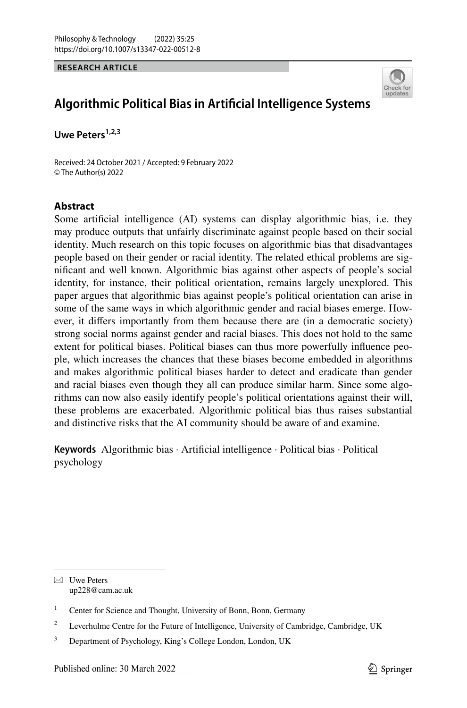**RESEARCH ARTICLE**



# **Algorithmic Political Bias in Artifcial Intelligence Systems**

Uwe Peters<sup>1,2,3</sup>

Received: 24 October 2021 / Accepted: 9 February 2022 © The Author(s) 2022

# **Abstract**

Some artifcial intelligence (AI) systems can display algorithmic bias, i.e. they may produce outputs that unfairly discriminate against people based on their social identity. Much research on this topic focuses on algorithmic bias that disadvantages people based on their gender or racial identity. The related ethical problems are signifcant and well known. Algorithmic bias against other aspects of people's social identity, for instance, their political orientation, remains largely unexplored. This paper argues that algorithmic bias against people's political orientation can arise in some of the same ways in which algorithmic gender and racial biases emerge. However, it difers importantly from them because there are (in a democratic society) strong social norms against gender and racial biases. This does not hold to the same extent for political biases. Political biases can thus more powerfully infuence people, which increases the chances that these biases become embedded in algorithms and makes algorithmic political biases harder to detect and eradicate than gender and racial biases even though they all can produce similar harm. Since some algorithms can now also easily identify people's political orientations against their will, these problems are exacerbated. Algorithmic political bias thus raises substantial and distinctive risks that the AI community should be aware of and examine.

**Keywords** Algorithmic bias · Artifcial intelligence · Political bias · Political psychology

 $\boxtimes$  Uwe Peters up228@cam.ac.uk

<sup>&</sup>lt;sup>1</sup> Center for Science and Thought, University of Bonn, Bonn, Germany

<sup>&</sup>lt;sup>2</sup> Leverhulme Centre for the Future of Intelligence, University of Cambridge, Cambridge, UK

<sup>&</sup>lt;sup>3</sup> Department of Psychology, King's College London, London, UK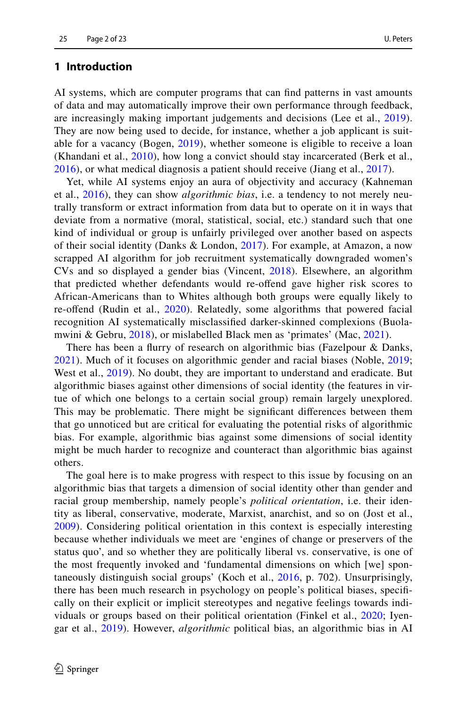### **1 Introduction**

AI systems, which are computer programs that can fnd patterns in vast amounts of data and may automatically improve their own performance through feedback, are increasingly making important judgements and decisions (Lee et al., [2019](#page-20-0)). They are now being used to decide, for instance, whether a job applicant is suitable for a vacancy (Bogen, [2019](#page-18-0)), whether someone is eligible to receive a loan (Khandani et al., [2010](#page-19-0)), how long a convict should stay incarcerated (Berk et al., [2016\)](#page-18-1), or what medical diagnosis a patient should receive (Jiang et al., [2017](#page-19-1)).

Yet, while AI systems enjoy an aura of objectivity and accuracy (Kahneman et al., [2016](#page-19-2)), they can show *algorithmic bias*, i.e. a tendency to not merely neutrally transform or extract information from data but to operate on it in ways that deviate from a normative (moral, statistical, social, etc.) standard such that one kind of individual or group is unfairly privileged over another based on aspects of their social identity (Danks & London, [2017](#page-18-2)). For example, at Amazon, a now scrapped AI algorithm for job recruitment systematically downgraded women's CVs and so displayed a gender bias (Vincent, [2018](#page-22-0)). Elsewhere, an algorithm that predicted whether defendants would re-ofend gave higher risk scores to African-Americans than to Whites although both groups were equally likely to re-ofend (Rudin et al., [2020](#page-21-0)). Relatedly, some algorithms that powered facial recognition AI systematically misclassifed darker-skinned complexions (Buolamwini & Gebru, [2018](#page-18-3)), or mislabelled Black men as 'primates' (Mac, [2021\)](#page-20-1).

There has been a furry of research on algorithmic bias (Fazelpour & Danks, [2021\)](#page-19-3). Much of it focuses on algorithmic gender and racial biases (Noble, [2019;](#page-20-2) West et al., [2019\)](#page-22-1). No doubt, they are important to understand and eradicate. But algorithmic biases against other dimensions of social identity (the features in virtue of which one belongs to a certain social group) remain largely unexplored. This may be problematic. There might be signifcant diferences between them that go unnoticed but are critical for evaluating the potential risks of algorithmic bias. For example, algorithmic bias against some dimensions of social identity might be much harder to recognize and counteract than algorithmic bias against others.

The goal here is to make progress with respect to this issue by focusing on an algorithmic bias that targets a dimension of social identity other than gender and racial group membership, namely people's *political orientation*, i.e. their identity as liberal, conservative, moderate, Marxist, anarchist, and so on (Jost et al., [2009\)](#page-19-4). Considering political orientation in this context is especially interesting because whether individuals we meet are 'engines of change or preservers of the status quo', and so whether they are politically liberal vs. conservative, is one of the most frequently invoked and 'fundamental dimensions on which [we] spontaneously distinguish social groups' (Koch et al., [2016,](#page-20-3) p. 702). Unsurprisingly, there has been much research in psychology on people's political biases, specifcally on their explicit or implicit stereotypes and negative feelings towards individuals or groups based on their political orientation (Finkel et al., [2020](#page-19-5); Iyengar et al., [2019\)](#page-19-6). However, *algorithmic* political bias, an algorithmic bias in AI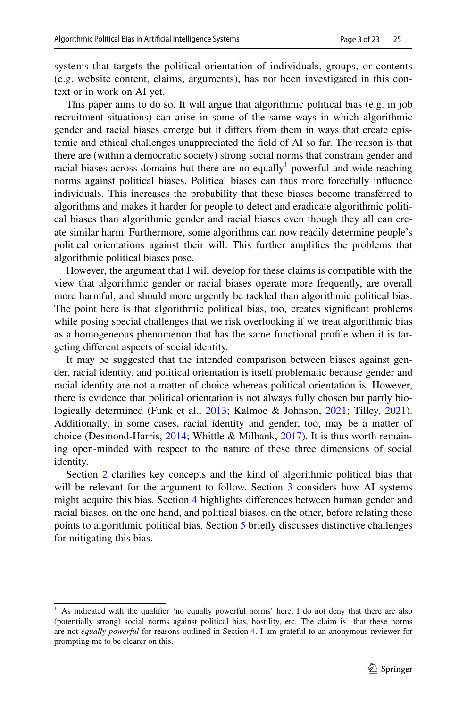systems that targets the political orientation of individuals, groups, or contents (e.g. website content, claims, arguments), has not been investigated in this context or in work on AI yet.

This paper aims to do so. It will argue that algorithmic political bias (e.g. in job recruitment situations) can arise in some of the same ways in which algorithmic gender and racial biases emerge but it difers from them in ways that create epistemic and ethical challenges unappreciated the feld of AI so far. The reason is that there are (within a democratic society) strong social norms that constrain gender and racial biases across domains but there are no equally powerful and wide reaching norms against political biases. Political biases can thus more forcefully infuence individuals. This increases the probability that these biases become transferred to algorithms and makes it harder for people to detect and eradicate algorithmic political biases than algorithmic gender and racial biases even though they all can create similar harm. Furthermore, some algorithms can now readily determine people's political orientations against their will. This further amplifes the problems that algorithmic political biases pose.

However, the argument that I will develop for these claims is compatible with the view that algorithmic gender or racial biases operate more frequently, are overall more harmful, and should more urgently be tackled than algorithmic political bias. The point here is that algorithmic political bias, too, creates signifcant problems while posing special challenges that we risk overlooking if we treat algorithmic bias as a homogeneous phenomenon that has the same functional profle when it is targeting diferent aspects of social identity.

It may be suggested that the intended comparison between biases against gender, racial identity, and political orientation is itself problematic because gender and racial identity are not a matter of choice whereas political orientation is. However, there is evidence that political orientation is not always fully chosen but partly bio-logically determined (Funk et al., [2013;](#page-19-7) Kalmoe & Johnson, [2021](#page-19-8); Tilley, [2021\)](#page-21-1). Additionally, in some cases, racial identity and gender, too, may be a matter of choice (Desmond-Harris, [2014;](#page-18-4) Whittle & Milbank, [2017](#page-22-2)). It is thus worth remaining open-minded with respect to the nature of these three dimensions of social identity.

Section [2](#page-3-0) clarifies key concepts and the kind of algorithmic political bias that will be relevant for the argument to follow. Section [3](#page-5-0) considers how AI systems might acquire this bias. Section [4](#page-8-0) highlights diferences between human gender and racial biases, on the one hand, and political biases, on the other, before relating these points to algorithmic political bias. Section [5](#page-15-0) briefy discusses distinctive challenges for mitigating this bias.

<span id="page-2-0"></span> $<sup>1</sup>$  As indicated with the qualifier 'no equally powerful norms' here, I do not deny that there are also</sup> (potentially strong) social norms against political bias, hostility, etc. The claim is that these norms are not *equally powerful* for reasons outlined in Section [4](#page-8-0). I am grateful to an anonymous reviewer for prompting me to be clearer on this.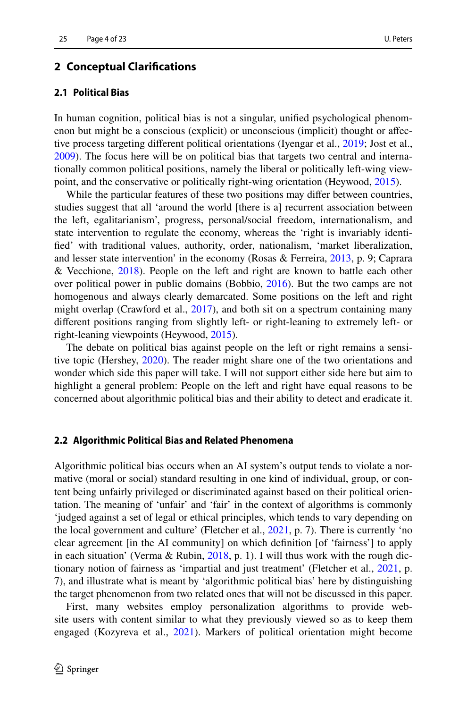### <span id="page-3-0"></span>**2 Conceptual Clarifcations**

# **2.1 Political Bias**

In human cognition, political bias is not a singular, unifed psychological phenomenon but might be a conscious (explicit) or unconscious (implicit) thought or afective process targeting diferent political orientations (Iyengar et al., [2019;](#page-19-6) Jost et al., [2009](#page-19-4)). The focus here will be on political bias that targets two central and internationally common political positions, namely the liberal or politically left-wing viewpoint, and the conservative or politically right-wing orientation (Heywood, [2015\)](#page-19-9).

While the particular features of these two positions may differ between countries, studies suggest that all 'around the world [there is a] recurrent association between the left, egalitarianism', progress, personal/social freedom, internationalism, and state intervention to regulate the economy, whereas the 'right is invariably identifed' with traditional values, authority, order, nationalism, 'market liberalization, and lesser state intervention' in the economy (Rosas & Ferreira, [2013,](#page-21-2) p. 9; Caprara & Vecchione, [2018](#page-18-5)). People on the left and right are known to battle each other over political power in public domains (Bobbio, [2016\)](#page-18-6). But the two camps are not homogenous and always clearly demarcated. Some positions on the left and right might overlap (Crawford et al., [2017\)](#page-18-7), and both sit on a spectrum containing many diferent positions ranging from slightly left- or right-leaning to extremely left- or right-leaning viewpoints (Heywood, [2015](#page-19-9)).

The debate on political bias against people on the left or right remains a sensitive topic (Hershey, [2020\)](#page-19-10). The reader might share one of the two orientations and wonder which side this paper will take. I will not support either side here but aim to highlight a general problem: People on the left and right have equal reasons to be concerned about algorithmic political bias and their ability to detect and eradicate it.

#### **2.2 Algorithmic Political Bias and Related Phenomena**

Algorithmic political bias occurs when an AI system's output tends to violate a normative (moral or social) standard resulting in one kind of individual, group, or content being unfairly privileged or discriminated against based on their political orientation. The meaning of 'unfair' and 'fair' in the context of algorithms is commonly 'judged against a set of legal or ethical principles, which tends to vary depending on the local government and culture' (Fletcher et al., [2021](#page-19-11), p. 7). There is currently 'no clear agreement [in the AI community] on which defnition [of 'fairness'] to apply in each situation' (Verma & Rubin, [2018](#page-21-3), p. 1). I will thus work with the rough dictionary notion of fairness as 'impartial and just treatment' (Fletcher et al., [2021](#page-19-11), p. 7), and illustrate what is meant by 'algorithmic political bias' here by distinguishing the target phenomenon from two related ones that will not be discussed in this paper.

First, many websites employ personalization algorithms to provide website users with content similar to what they previously viewed so as to keep them engaged (Kozyreva et al., [2021](#page-20-4)). Markers of political orientation might become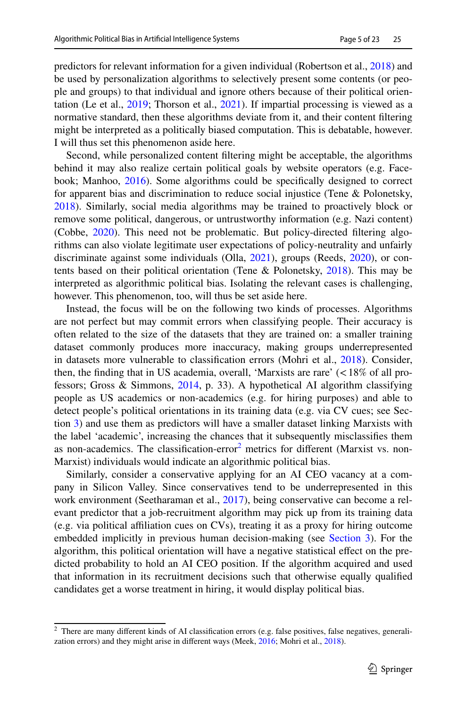predictors for relevant information for a given individual (Robertson et al., [2018](#page-21-4)) and be used by personalization algorithms to selectively present some contents (or people and groups) to that individual and ignore others because of their political orientation (Le et al., [2019](#page-20-5); Thorson et al., [2021](#page-21-5)). If impartial processing is viewed as a normative standard, then these algorithms deviate from it, and their content fltering might be interpreted as a politically biased computation. This is debatable, however. I will thus set this phenomenon aside here.

Second, while personalized content fltering might be acceptable, the algorithms behind it may also realize certain political goals by website operators (e.g. Facebook; Manhoo, [2016](#page-20-6)). Some algorithms could be specifcally designed to correct for apparent bias and discrimination to reduce social injustice (Tene & Polonetsky, [2018](#page-21-6)). Similarly, social media algorithms may be trained to proactively block or remove some political, dangerous, or untrustworthy information (e.g. Nazi content) (Cobbe, [2020](#page-18-8)). This need not be problematic. But policy-directed fltering algorithms can also violate legitimate user expectations of policy-neutrality and unfairly discriminate against some individuals (Olla, [2021](#page-20-7)), groups (Reeds, [2020](#page-21-7)), or contents based on their political orientation (Tene & Polonetsky, [2018](#page-21-6)). This may be interpreted as algorithmic political bias. Isolating the relevant cases is challenging, however. This phenomenon, too, will thus be set aside here.

Instead, the focus will be on the following two kinds of processes. Algorithms are not perfect but may commit errors when classifying people. Their accuracy is often related to the size of the datasets that they are trained on: a smaller training dataset commonly produces more inaccuracy, making groups underrepresented in datasets more vulnerable to classifcation errors (Mohri et al., [2018\)](#page-20-8). Consider, then, the finding that in US academia, overall, 'Marxists are rare'  $\ll 18\%$  of all professors; Gross & Simmons, [2014](#page-19-12), p. 33). A hypothetical AI algorithm classifying people as US academics or non-academics (e.g. for hiring purposes) and able to detect people's political orientations in its training data (e.g. via CV cues; see Section [3](#page-5-0)) and use them as predictors will have a smaller dataset linking Marxists with the label 'academic', increasing the chances that it subsequently misclassifes them as non-academics. The classification-error<sup>[2](#page-4-0)</sup> metrics for different (Marxist vs. non-Marxist) individuals would indicate an algorithmic political bias.

Similarly, consider a conservative applying for an AI CEO vacancy at a company in Silicon Valley. Since conservatives tend to be underrepresented in this work environment (Seetharaman et al., [2017\)](#page-21-8), being conservative can become a relevant predictor that a job-recruitment algorithm may pick up from its training data (e.g. via political afliation cues on CVs), treating it as a proxy for hiring outcome embedded implicitly in previous human decision-making (see [Section 3\)](#page-5-0). For the algorithm, this political orientation will have a negative statistical efect on the predicted probability to hold an AI CEO position. If the algorithm acquired and used that information in its recruitment decisions such that otherwise equally qualifed candidates get a worse treatment in hiring, it would display political bias.

<span id="page-4-0"></span><sup>&</sup>lt;sup>2</sup> There are many different kinds of AI classification errors (e.g. false positives, false negatives, generalization errors) and they might arise in diferent ways (Meek, [2016](#page-20-9); Mohri et al., [2018](#page-20-8)).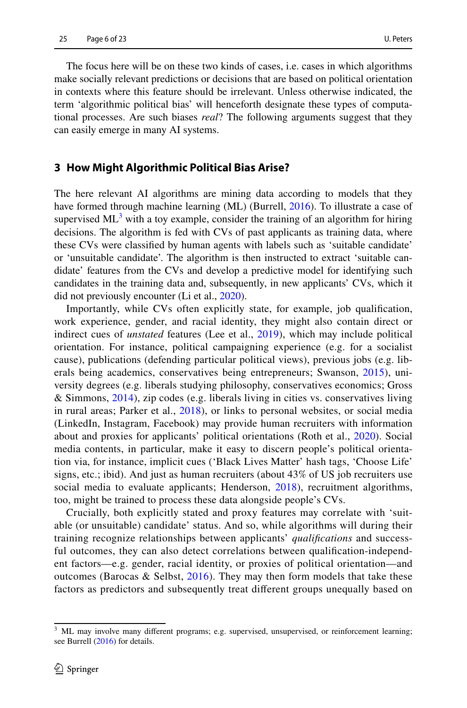The focus here will be on these two kinds of cases, i.e. cases in which algorithms make socially relevant predictions or decisions that are based on political orientation in contexts where this feature should be irrelevant. Unless otherwise indicated, the term 'algorithmic political bias' will henceforth designate these types of computational processes. Are such biases *real*? The following arguments suggest that they can easily emerge in many AI systems.

# <span id="page-5-0"></span>**3 How Might Algorithmic Political Bias Arise?**

The here relevant AI algorithms are mining data according to models that they have formed through machine learning (ML) (Burrell, [2016](#page-18-9)). To illustrate a case of supervised  $ML^3$  $ML^3$  with a toy example, consider the training of an algorithm for hiring decisions. The algorithm is fed with CVs of past applicants as training data, where these CVs were classifed by human agents with labels such as 'suitable candidate' or 'unsuitable candidate'. The algorithm is then instructed to extract 'suitable candidate' features from the CVs and develop a predictive model for identifying such candidates in the training data and, subsequently, in new applicants' CVs, which it did not previously encounter (Li et al., [2020\)](#page-20-10).

Importantly, while CVs often explicitly state, for example, job qualifcation, work experience, gender, and racial identity, they might also contain direct or indirect cues of *unstated* features (Lee et al., [2019\)](#page-20-0), which may include political orientation. For instance, political campaigning experience (e.g. for a socialist cause), publications (defending particular political views), previous jobs (e.g. liberals being academics, conservatives being entrepreneurs; Swanson, [2015\)](#page-21-9), university degrees (e.g. liberals studying philosophy, conservatives economics; Gross & Simmons, [2014\)](#page-19-12), zip codes (e.g. liberals living in cities vs. conservatives living in rural areas; Parker et al., [2018](#page-21-10)), or links to personal websites, or social media (LinkedIn, Instagram, Facebook) may provide human recruiters with information about and proxies for applicants' political orientations (Roth et al., [2020\)](#page-21-11). Social media contents, in particular, make it easy to discern people's political orientation via, for instance, implicit cues ('Black Lives Matter' hash tags, 'Choose Life' signs, etc.; ibid). And just as human recruiters (about 43% of US job recruiters use social media to evaluate applicants; Henderson, [2018\)](#page-19-13), recruitment algorithms, too, might be trained to process these data alongside people's CVs.

Crucially, both explicitly stated and proxy features may correlate with 'suitable (or unsuitable) candidate' status. And so, while algorithms will during their training recognize relationships between applicants' *qualifcations* and successful outcomes, they can also detect correlations between qualifcation-independent factors—e.g. gender, racial identity, or proxies of political orientation—and outcomes (Barocas & Selbst, [2016\)](#page-17-0). They may then form models that take these factors as predictors and subsequently treat diferent groups unequally based on

<span id="page-5-1"></span><sup>&</sup>lt;sup>3</sup> ML may involve many different programs; e.g. supervised, unsupervised, or reinforcement learning; see Burrell ([2016\)](#page-18-9) for details.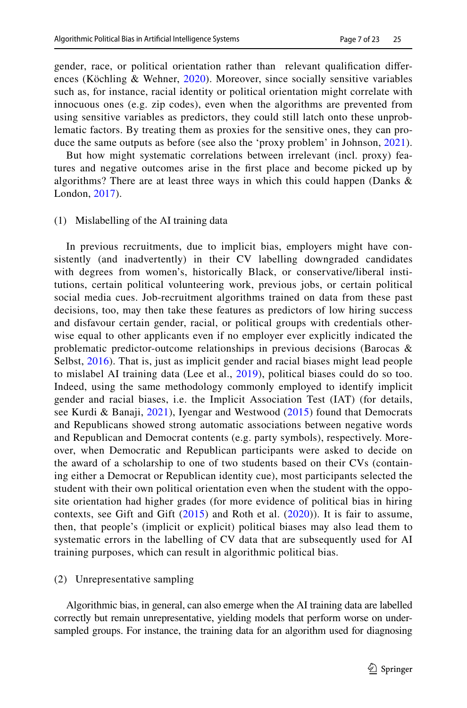gender, race, or political orientation rather than relevant qualifcation diferences (Köchling & Wehner, [2020\)](#page-20-11). Moreover, since socially sensitive variables such as, for instance, racial identity or political orientation might correlate with innocuous ones (e.g. zip codes), even when the algorithms are prevented from using sensitive variables as predictors, they could still latch onto these unproblematic factors. By treating them as proxies for the sensitive ones, they can pro-duce the same outputs as before (see also the 'proxy problem' in Johnson, [2021](#page-19-14)).

But how might systematic correlations between irrelevant (incl. proxy) features and negative outcomes arise in the frst place and become picked up by algorithms? There are at least three ways in which this could happen (Danks & London, [2017\)](#page-18-2).

#### (1) Mislabelling of the AI training data

In previous recruitments, due to implicit bias, employers might have consistently (and inadvertently) in their CV labelling downgraded candidates with degrees from women's, historically Black, or conservative/liberal institutions, certain political volunteering work, previous jobs, or certain political social media cues. Job-recruitment algorithms trained on data from these past decisions, too, may then take these features as predictors of low hiring success and disfavour certain gender, racial, or political groups with credentials otherwise equal to other applicants even if no employer ever explicitly indicated the problematic predictor-outcome relationships in previous decisions (Barocas & Selbst, [2016\)](#page-17-0). That is, just as implicit gender and racial biases might lead people to mislabel AI training data (Lee et al., [2019](#page-20-0)), political biases could do so too. Indeed, using the same methodology commonly employed to identify implicit gender and racial biases, i.e. the Implicit Association Test (IAT) (for details, see Kurdi & Banaji, [2021\)](#page-20-12), Iyengar and Westwood ([2015](#page-19-15)) found that Democrats and Republicans showed strong automatic associations between negative words and Republican and Democrat contents (e.g. party symbols), respectively. Moreover, when Democratic and Republican participants were asked to decide on the award of a scholarship to one of two students based on their CVs (containing either a Democrat or Republican identity cue), most participants selected the student with their own political orientation even when the student with the opposite orientation had higher grades (for more evidence of political bias in hiring contexts, see Gift and Gift ([2015\)](#page-19-16) and Roth et al. ([2020](#page-21-11))). It is fair to assume, then, that people's (implicit or explicit) political biases may also lead them to systematic errors in the labelling of CV data that are subsequently used for AI training purposes, which can result in algorithmic political bias.

#### (2) Unrepresentative sampling

Algorithmic bias, in general, can also emerge when the AI training data are labelled correctly but remain unrepresentative, yielding models that perform worse on undersampled groups. For instance, the training data for an algorithm used for diagnosing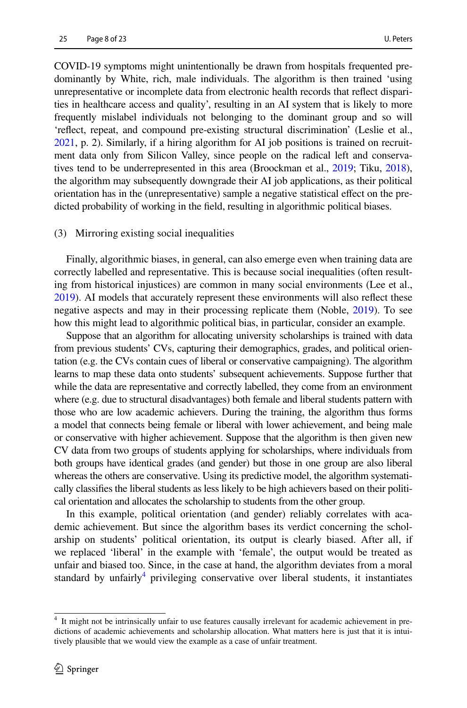COVID-19 symptoms might unintentionally be drawn from hospitals frequented predominantly by White, rich, male individuals. The algorithm is then trained 'using unrepresentative or incomplete data from electronic health records that refect disparities in healthcare access and quality', resulting in an AI system that is likely to more frequently mislabel individuals not belonging to the dominant group and so will 'refect, repeat, and compound pre-existing structural discrimination' (Leslie et al., [2021,](#page-20-13) p. 2). Similarly, if a hiring algorithm for AI job positions is trained on recruitment data only from Silicon Valley, since people on the radical left and conservatives tend to be underrepresented in this area (Broockman et al., [2019;](#page-18-10) Tiku, [2018\)](#page-21-12), the algorithm may subsequently downgrade their AI job applications, as their political orientation has in the (unrepresentative) sample a negative statistical efect on the predicted probability of working in the feld, resulting in algorithmic political biases.

#### (3) Mirroring existing social inequalities

Finally, algorithmic biases, in general, can also emerge even when training data are correctly labelled and representative. This is because social inequalities (often resulting from historical injustices) are common in many social environments (Lee et al., [2019\)](#page-20-0). AI models that accurately represent these environments will also refect these negative aspects and may in their processing replicate them (Noble, [2019\)](#page-20-2). To see how this might lead to algorithmic political bias, in particular, consider an example.

Suppose that an algorithm for allocating university scholarships is trained with data from previous students' CVs, capturing their demographics, grades, and political orientation (e.g. the CVs contain cues of liberal or conservative campaigning). The algorithm learns to map these data onto students' subsequent achievements. Suppose further that while the data are representative and correctly labelled, they come from an environment where (e.g. due to structural disadvantages) both female and liberal students pattern with those who are low academic achievers. During the training, the algorithm thus forms a model that connects being female or liberal with lower achievement, and being male or conservative with higher achievement. Suppose that the algorithm is then given new CV data from two groups of students applying for scholarships, where individuals from both groups have identical grades (and gender) but those in one group are also liberal whereas the others are conservative. Using its predictive model, the algorithm systematically classifes the liberal students as less likely to be high achievers based on their political orientation and allocates the scholarship to students from the other group.

In this example, political orientation (and gender) reliably correlates with academic achievement. But since the algorithm bases its verdict concerning the scholarship on students' political orientation, its output is clearly biased. After all, if we replaced 'liberal' in the example with 'female', the output would be treated as unfair and biased too. Since, in the case at hand, the algorithm deviates from a moral standard by unfairly<sup>[4](#page-7-0)</sup> privileging conservative over liberal students, it instantiates

<span id="page-7-0"></span><sup>4</sup> It might not be intrinsically unfair to use features causally irrelevant for academic achievement in predictions of academic achievements and scholarship allocation. What matters here is just that it is intuitively plausible that we would view the example as a case of unfair treatment.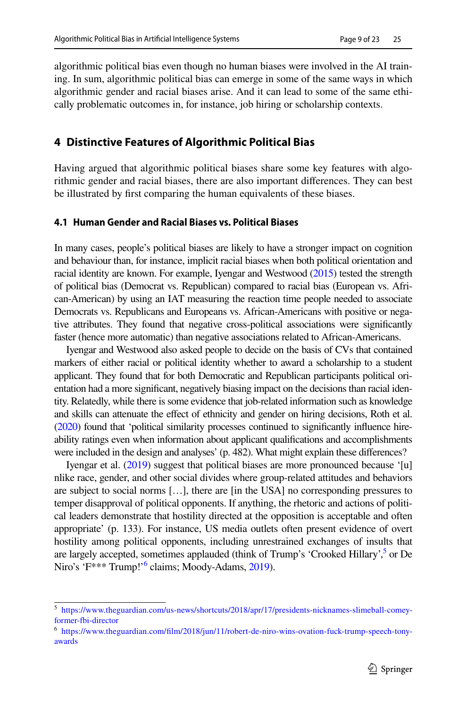algorithmic political bias even though no human biases were involved in the AI training. In sum, algorithmic political bias can emerge in some of the same ways in which algorithmic gender and racial biases arise. And it can lead to some of the same ethically problematic outcomes in, for instance, job hiring or scholarship contexts.

# <span id="page-8-0"></span>**4 Distinctive Features of Algorithmic Political Bias**

Having argued that algorithmic political biases share some key features with algorithmic gender and racial biases, there are also important diferences. They can best be illustrated by frst comparing the human equivalents of these biases.

### **4.1 Human Gender and Racial Biases vs. Political Biases**

In many cases, people's political biases are likely to have a stronger impact on cognition and behaviour than, for instance, implicit racial biases when both political orientation and racial identity are known. For example, Iyengar and Westwood [\(2015\)](#page-19-15) tested the strength of political bias (Democrat vs. Republican) compared to racial bias (European vs. African-American) by using an IAT measuring the reaction time people needed to associate Democrats vs. Republicans and Europeans vs. African-Americans with positive or negative attributes. They found that negative cross-political associations were signifcantly faster (hence more automatic) than negative associations related to African-Americans.

Iyengar and Westwood also asked people to decide on the basis of CVs that contained markers of either racial or political identity whether to award a scholarship to a student applicant. They found that for both Democratic and Republican participants political orientation had a more signifcant, negatively biasing impact on the decisions than racial identity. Relatedly, while there is some evidence that job-related information such as knowledge and skills can attenuate the efect of ethnicity and gender on hiring decisions, Roth et al. [\(2020\)](#page-21-11) found that 'political similarity processes continued to signifcantly infuence hireability ratings even when information about applicant qualifcations and accomplishments were included in the design and analyses' (p. 482). What might explain these diferences?

Iyengar et al. [\(2019\)](#page-19-6) suggest that political biases are more pronounced because '[u] nlike race, gender, and other social divides where group-related attitudes and behaviors are subject to social norms […], there are [in the USA] no corresponding pressures to temper disapproval of political opponents. If anything, the rhetoric and actions of political leaders demonstrate that hostility directed at the opposition is acceptable and often appropriate' (p. 133). For instance, US media outlets often present evidence of overt hostility among political opponents, including unrestrained exchanges of insults that are largely accepted, sometimes applauded (think of Trump's 'Crooked Hillary',<sup>[5](#page-8-1)</sup> or De Niro's 'F\*\*\* Trump!'<sup>6</sup> claims; Moody-Adams, [2019\)](#page-20-14).

<span id="page-8-1"></span><sup>5</sup> [https://www.theguardian.com/us-news/shortcuts/2018/apr/17/presidents-nicknames-slimeball-comey](https://www.theguardian.com/us-news/shortcuts/2018/apr/17/presidents-nicknames-slimeball-comey-former-fbi-director)[former-fbi-director](https://www.theguardian.com/us-news/shortcuts/2018/apr/17/presidents-nicknames-slimeball-comey-former-fbi-director)

<span id="page-8-2"></span><sup>6</sup> [https://www.theguardian.com/flm/2018/jun/11/robert-de-niro-wins-ovation-fuck-trump-speech-tony](https://www.theguardian.com/film/2018/jun/11/robert-de-niro-wins-ovation-fuck-trump-speech-tony-awards)[awards](https://www.theguardian.com/film/2018/jun/11/robert-de-niro-wins-ovation-fuck-trump-speech-tony-awards)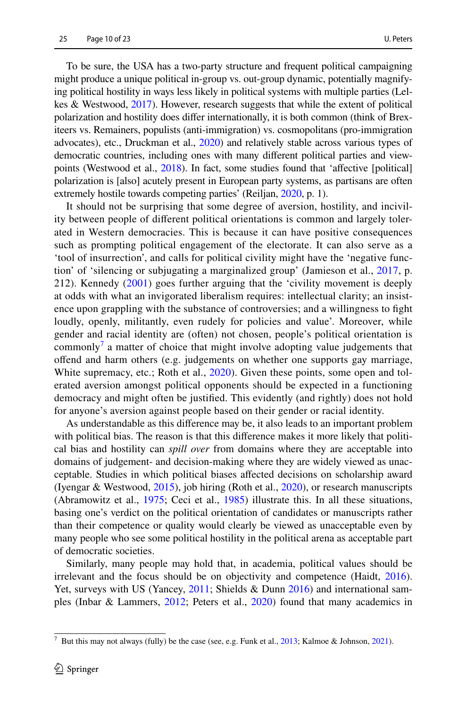To be sure, the USA has a two-party structure and frequent political campaigning might produce a unique political in-group vs. out-group dynamic, potentially magnifying political hostility in ways less likely in political systems with multiple parties (Lelkes & Westwood, [2017](#page-20-15)). However, research suggests that while the extent of political polarization and hostility does difer internationally, it is both common (think of Brexiteers vs. Remainers, populists (anti-immigration) vs. cosmopolitans (pro-immigration advocates), etc., Druckman et al., [2020](#page-18-11)) and relatively stable across various types of democratic countries, including ones with many diferent political parties and viewpoints (Westwood et al., [2018\)](#page-22-3). In fact, some studies found that 'afective [political] polarization is [also] acutely present in European party systems, as partisans are often extremely hostile towards competing parties' (Reiljan, [2020,](#page-21-13) p. 1).

It should not be surprising that some degree of aversion, hostility, and incivility between people of diferent political orientations is common and largely tolerated in Western democracies. This is because it can have positive consequences such as prompting political engagement of the electorate. It can also serve as a 'tool of insurrection', and calls for political civility might have the 'negative function' of 'silencing or subjugating a marginalized group' (Jamieson et al., [2017](#page-19-17), p. 212). Kennedy [\(2001\)](#page-19-18) goes further arguing that the 'civility movement is deeply at odds with what an invigorated liberalism requires: intellectual clarity; an insistence upon grappling with the substance of controversies; and a willingness to fght loudly, openly, militantly, even rudely for policies and value'. Moreover, while gender and racial identity are (often) not chosen, people's political orientation is commonly<sup>[7](#page-9-0)</sup> a matter of choice that might involve adopting value judgements that ofend and harm others (e.g. judgements on whether one supports gay marriage, White supremacy, etc.; Roth et al., [2020\)](#page-21-11). Given these points, some open and tolerated aversion amongst political opponents should be expected in a functioning democracy and might often be justifed. This evidently (and rightly) does not hold for anyone's aversion against people based on their gender or racial identity.

As understandable as this diference may be, it also leads to an important problem with political bias. The reason is that this diference makes it more likely that political bias and hostility can *spill over* from domains where they are acceptable into domains of judgement- and decision-making where they are widely viewed as unacceptable. Studies in which political biases afected decisions on scholarship award (Iyengar & Westwood, [2015](#page-19-15)), job hiring (Roth et al., [2020\)](#page-21-11), or research manuscripts (Abramowitz et al., [1975;](#page-17-1) Ceci et al., [1985](#page-18-12)) illustrate this. In all these situations, basing one's verdict on the political orientation of candidates or manuscripts rather than their competence or quality would clearly be viewed as unacceptable even by many people who see some political hostility in the political arena as acceptable part of democratic societies.

Similarly, many people may hold that, in academia, political values should be irrelevant and the focus should be on objectivity and competence (Haidt, [2016\)](#page-19-19). Yet, surveys with US (Yancey, [2011;](#page-22-4) Shields & Dunn [2016\)](#page-21-14) and international samples (Inbar & Lammers, [2012;](#page-19-20) Peters et al., [2020](#page-21-15)) found that many academics in

<span id="page-9-0"></span><sup>&</sup>lt;sup>7</sup> But this may not always (fully) be the case (see, e.g. Funk et al.,  $2013$ ; Kalmoe & Johnson, [2021](#page-19-8)).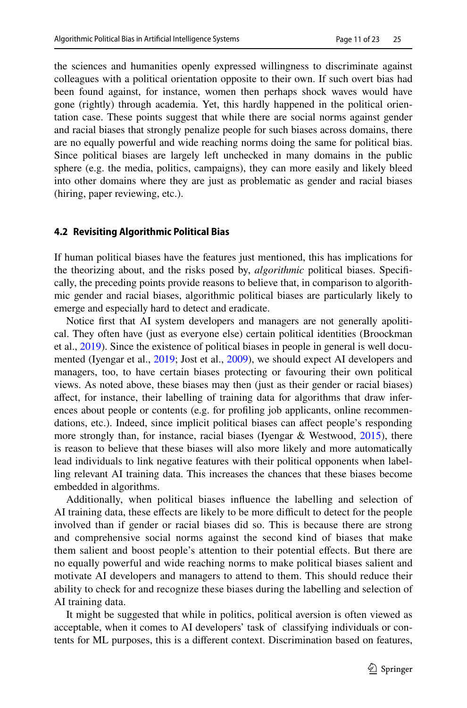the sciences and humanities openly expressed willingness to discriminate against colleagues with a political orientation opposite to their own. If such overt bias had been found against, for instance, women then perhaps shock waves would have gone (rightly) through academia. Yet, this hardly happened in the political orientation case. These points suggest that while there are social norms against gender and racial biases that strongly penalize people for such biases across domains, there are no equally powerful and wide reaching norms doing the same for political bias. Since political biases are largely left unchecked in many domains in the public sphere (e.g. the media, politics, campaigns), they can more easily and likely bleed into other domains where they are just as problematic as gender and racial biases (hiring, paper reviewing, etc.).

### **4.2 Revisiting Algorithmic Political Bias**

If human political biases have the features just mentioned, this has implications for the theorizing about, and the risks posed by, *algorithmic* political biases. Specifcally, the preceding points provide reasons to believe that, in comparison to algorithmic gender and racial biases, algorithmic political biases are particularly likely to emerge and especially hard to detect and eradicate.

Notice frst that AI system developers and managers are not generally apolitical. They often have (just as everyone else) certain political identities (Broockman et al., [2019](#page-18-10)). Since the existence of political biases in people in general is well documented (Iyengar et al., [2019;](#page-19-6) Jost et al., [2009\)](#page-19-4), we should expect AI developers and managers, too, to have certain biases protecting or favouring their own political views. As noted above, these biases may then (just as their gender or racial biases) afect, for instance, their labelling of training data for algorithms that draw inferences about people or contents (e.g. for profling job applicants, online recommendations, etc.). Indeed, since implicit political biases can affect people's responding more strongly than, for instance, racial biases (Iyengar & Westwood, [2015\)](#page-19-15), there is reason to believe that these biases will also more likely and more automatically lead individuals to link negative features with their political opponents when labelling relevant AI training data. This increases the chances that these biases become embedded in algorithms.

Additionally, when political biases infuence the labelling and selection of AI training data, these efects are likely to be more difcult to detect for the people involved than if gender or racial biases did so. This is because there are strong and comprehensive social norms against the second kind of biases that make them salient and boost people's attention to their potential efects. But there are no equally powerful and wide reaching norms to make political biases salient and motivate AI developers and managers to attend to them. This should reduce their ability to check for and recognize these biases during the labelling and selection of AI training data.

It might be suggested that while in politics, political aversion is often viewed as acceptable, when it comes to AI developers' task of classifying individuals or contents for ML purposes, this is a diferent context. Discrimination based on features,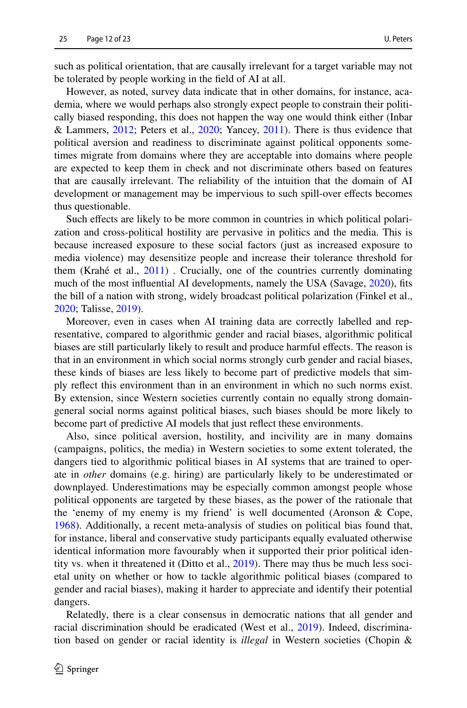such as political orientation, that are causally irrelevant for a target variable may not be tolerated by people working in the feld of AI at all.

However, as noted, survey data indicate that in other domains, for instance, academia, where we would perhaps also strongly expect people to constrain their politically biased responding, this does not happen the way one would think either (Inbar & Lammers, [2012](#page-19-20); Peters et al., [2020](#page-21-15); Yancey, [2011\)](#page-22-4). There is thus evidence that political aversion and readiness to discriminate against political opponents sometimes migrate from domains where they are acceptable into domains where people are expected to keep them in check and not discriminate others based on features that are causally irrelevant. The reliability of the intuition that the domain of AI development or management may be impervious to such spill-over efects becomes thus questionable.

Such efects are likely to be more common in countries in which political polarization and cross-political hostility are pervasive in politics and the media. This is because increased exposure to these social factors (just as increased exposure to media violence) may desensitize people and increase their tolerance threshold for them (Krahé et al.,  $2011$ ). Crucially, one of the countries currently dominating much of the most influential AI developments, namely the USA (Savage, [2020\)](#page-21-16), fits the bill of a nation with strong, widely broadcast political polarization (Finkel et al., [2020](#page-19-5); Talisse, [2019](#page-21-17)).

Moreover, even in cases when AI training data are correctly labelled and representative, compared to algorithmic gender and racial biases, algorithmic political biases are still particularly likely to result and produce harmful efects. The reason is that in an environment in which social norms strongly curb gender and racial biases, these kinds of biases are less likely to become part of predictive models that simply refect this environment than in an environment in which no such norms exist. By extension, since Western societies currently contain no equally strong domaingeneral social norms against political biases, such biases should be more likely to become part of predictive AI models that just refect these environments.

Also, since political aversion, hostility, and incivility are in many domains (campaigns, politics, the media) in Western societies to some extent tolerated, the dangers tied to algorithmic political biases in AI systems that are trained to operate in *other* domains (e.g. hiring) are particularly likely to be underestimated or downplayed. Underestimations may be especially common amongst people whose political opponents are targeted by these biases, as the power of the rationale that the 'enemy of my enemy is my friend' is well documented (Aronson & Cope, [1968](#page-17-2)). Additionally, a recent meta-analysis of studies on political bias found that, for instance, liberal and conservative study participants equally evaluated otherwise identical information more favourably when it supported their prior political identity vs. when it threatened it (Ditto et al., [2019](#page-18-13)). There may thus be much less societal unity on whether or how to tackle algorithmic political biases (compared to gender and racial biases), making it harder to appreciate and identify their potential dangers.

Relatedly, there is a clear consensus in democratic nations that all gender and racial discrimination should be eradicated (West et al., [2019\)](#page-22-1). Indeed, discrimination based on gender or racial identity is *illegal* in Western societies (Chopin &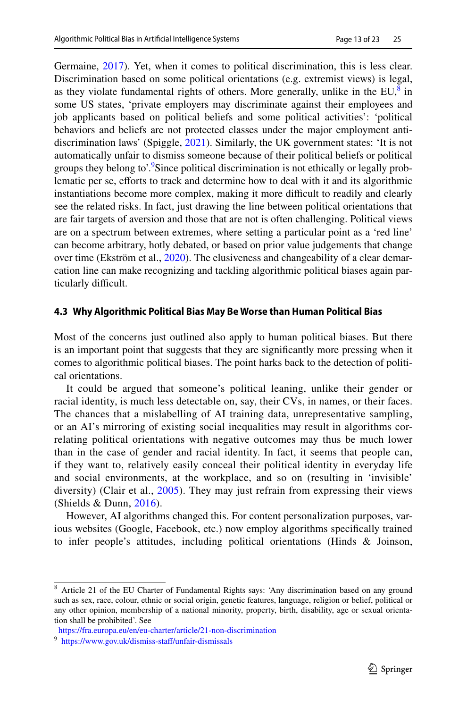Germaine, [2017\)](#page-18-14). Yet, when it comes to political discrimination, this is less clear. Discrimination based on some political orientations (e.g. extremist views) is legal, as they violate fundamental rights of others. More generally, unlike in the  $EU^8$  $EU^8$  in some US states, 'private employers may discriminate against their employees and job applicants based on political beliefs and some political activities': 'political behaviors and beliefs are not protected classes under the major employment antidiscrimination laws' (Spiggle, [2021](#page-21-18)). Similarly, the UK government states: 'It is not automatically unfair to dismiss someone because of their political beliefs or political groups they belong to'.<sup>[9](#page-12-1)</sup>Since political discrimination is not ethically or legally problematic per se, efforts to track and determine how to deal with it and its algorithmic instantiations become more complex, making it more difficult to readily and clearly see the related risks. In fact, just drawing the line between political orientations that are fair targets of aversion and those that are not is often challenging. Political views are on a spectrum between extremes, where setting a particular point as a 'red line' can become arbitrary, hotly debated, or based on prior value judgements that change over time (Ekström et al., [2020](#page-18-15)). The elusiveness and changeability of a clear demarcation line can make recognizing and tackling algorithmic political biases again particularly difficult.

# **4.3 Why Algorithmic Political Bias May Be Worse than Human Political Bias**

Most of the concerns just outlined also apply to human political biases. But there is an important point that suggests that they are signifcantly more pressing when it comes to algorithmic political biases. The point harks back to the detection of political orientations.

It could be argued that someone's political leaning, unlike their gender or racial identity, is much less detectable on, say, their CVs, in names, or their faces. The chances that a mislabelling of AI training data, unrepresentative sampling, or an AI's mirroring of existing social inequalities may result in algorithms correlating political orientations with negative outcomes may thus be much lower than in the case of gender and racial identity. In fact, it seems that people can, if they want to, relatively easily conceal their political identity in everyday life and social environments, at the workplace, and so on (resulting in 'invisible' diversity) (Clair et al., [2005\)](#page-18-16). They may just refrain from expressing their views (Shields  $&$  Dunn, [2016\)](#page-21-14).

However, AI algorithms changed this. For content personalization purposes, various websites (Google, Facebook, etc.) now employ algorithms specifcally trained to infer people's attitudes, including political orientations (Hinds & Joinson,

<span id="page-12-0"></span><sup>8</sup> Article 21 of the EU Charter of Fundamental Rights says: 'Any discrimination based on any ground such as sex, race, colour, ethnic or social origin, genetic features, language, religion or belief, political or any other opinion, membership of a national minority, property, birth, disability, age or sexual orientation shall be prohibited'. See

<https://fra.europa.eu/en/eu-charter/article/21-non-discrimination>

<span id="page-12-1"></span><sup>&</sup>lt;sup>9</sup> https://www.gov.uk/dismiss-staff/unfair-dismissals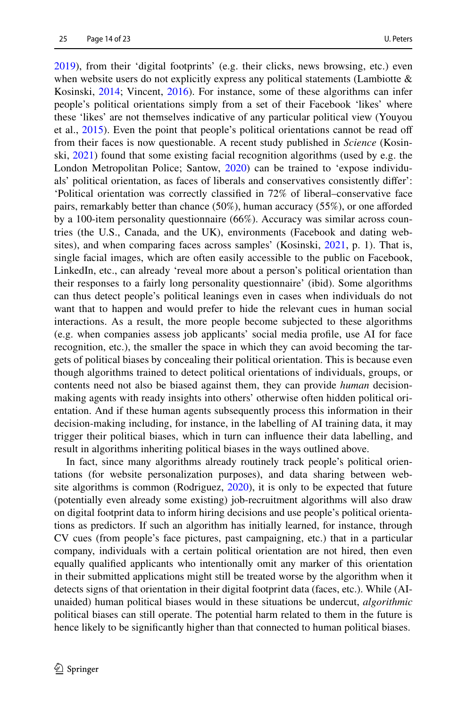[2019](#page-19-21)), from their 'digital footprints' (e.g. their clicks, news browsing, etc.) even when website users do not explicitly express any political statements (Lambiotte  $\&$ Kosinski, [2014](#page-20-17); Vincent, [2016\)](#page-21-19). For instance, some of these algorithms can infer people's political orientations simply from a set of their Facebook 'likes' where these 'likes' are not themselves indicative of any particular political view (Youyou et al., [2015](#page-22-5)). Even the point that people's political orientations cannot be read off from their faces is now questionable. A recent study published in *Science* (Kosinski, [2021\)](#page-20-18) found that some existing facial recognition algorithms (used by e.g. the London Metropolitan Police; Santow, [2020](#page-21-20)) can be trained to 'expose individuals' political orientation, as faces of liberals and conservatives consistently difer': 'Political orientation was correctly classifed in 72% of liberal–conservative face pairs, remarkably better than chance (50%), human accuracy (55%), or one aforded by a 100-item personality questionnaire (66%). Accuracy was similar across countries (the U.S., Canada, and the UK), environments (Facebook and dating websites), and when comparing faces across samples' (Kosinski, [2021,](#page-20-18) p. 1). That is, single facial images, which are often easily accessible to the public on Facebook, LinkedIn, etc., can already 'reveal more about a person's political orientation than their responses to a fairly long personality questionnaire' (ibid). Some algorithms can thus detect people's political leanings even in cases when individuals do not want that to happen and would prefer to hide the relevant cues in human social interactions. As a result, the more people become subjected to these algorithms (e.g. when companies assess job applicants' social media profle, use AI for face recognition, etc.), the smaller the space in which they can avoid becoming the targets of political biases by concealing their political orientation. This is because even though algorithms trained to detect political orientations of individuals, groups, or contents need not also be biased against them, they can provide *human* decisionmaking agents with ready insights into others' otherwise often hidden political orientation. And if these human agents subsequently process this information in their decision-making including, for instance, in the labelling of AI training data, it may trigger their political biases, which in turn can infuence their data labelling, and result in algorithms inheriting political biases in the ways outlined above.

In fact, since many algorithms already routinely track people's political orientations (for website personalization purposes), and data sharing between website algorithms is common (Rodriguez, [2020](#page-21-21)), it is only to be expected that future (potentially even already some existing) job-recruitment algorithms will also draw on digital footprint data to inform hiring decisions and use people's political orientations as predictors. If such an algorithm has initially learned, for instance, through CV cues (from people's face pictures, past campaigning, etc.) that in a particular company, individuals with a certain political orientation are not hired, then even equally qualifed applicants who intentionally omit any marker of this orientation in their submitted applications might still be treated worse by the algorithm when it detects signs of that orientation in their digital footprint data (faces, etc.). While (AIunaided) human political biases would in these situations be undercut, *algorithmic* political biases can still operate. The potential harm related to them in the future is hence likely to be signifcantly higher than that connected to human political biases.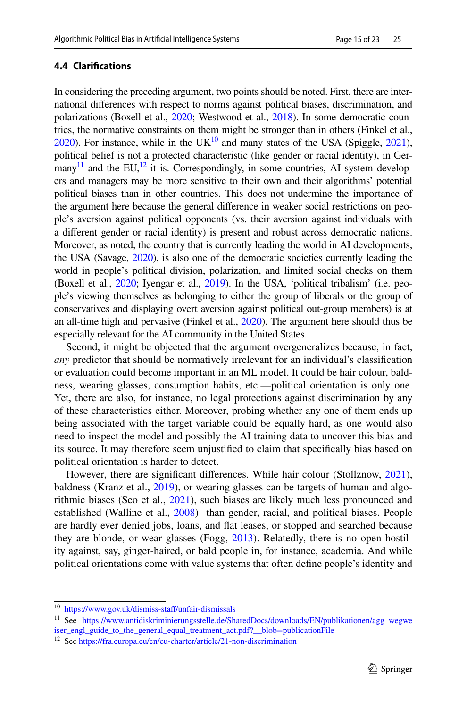# **4.4 Clarifcations**

In considering the preceding argument, two points should be noted. First, there are international diferences with respect to norms against political biases, discrimination, and polarizations (Boxell et al., [2020;](#page-18-17) Westwood et al., [2018\)](#page-22-3). In some democratic countries, the normative constraints on them might be stronger than in others (Finkel et al.,  $2020$ ). For instance, while in the UK $^{10}$  $^{10}$  $^{10}$  and many states of the USA (Spiggle,  $2021$ ), political belief is not a protected characteristic (like gender or racial identity), in Germany<sup>11</sup> and the EU,<sup>12</sup> it is. Correspondingly, in some countries, AI system developers and managers may be more sensitive to their own and their algorithms' potential political biases than in other countries. This does not undermine the importance of the argument here because the general diference in weaker social restrictions on people's aversion against political opponents (vs. their aversion against individuals with a diferent gender or racial identity) is present and robust across democratic nations. Moreover, as noted, the country that is currently leading the world in AI developments, the USA (Savage, [2020\)](#page-21-16), is also one of the democratic societies currently leading the world in people's political division, polarization, and limited social checks on them (Boxell et al., [2020](#page-18-17); Iyengar et al., [2019](#page-19-6)). In the USA, 'political tribalism' (i.e. people's viewing themselves as belonging to either the group of liberals or the group of conservatives and displaying overt aversion against political out-group members) is at an all-time high and pervasive (Finkel et al., [2020](#page-19-5)). The argument here should thus be especially relevant for the AI community in the United States.

Second, it might be objected that the argument overgeneralizes because, in fact, *any* predictor that should be normatively irrelevant for an individual's classifcation or evaluation could become important in an ML model. It could be hair colour, baldness, wearing glasses, consumption habits, etc.—political orientation is only one. Yet, there are also, for instance, no legal protections against discrimination by any of these characteristics either. Moreover, probing whether any one of them ends up being associated with the target variable could be equally hard, as one would also need to inspect the model and possibly the AI training data to uncover this bias and its source. It may therefore seem unjustifed to claim that specifcally bias based on political orientation is harder to detect.

However, there are signifcant diferences. While hair colour (Stollznow, [2021\)](#page-21-22), baldness (Kranz et al., [2019](#page-20-19)), or wearing glasses can be targets of human and algorithmic biases (Seo et al., [2021](#page-21-23)), such biases are likely much less pronounced and established (Walline et al., [2008\)](#page-22-6) than gender, racial, and political biases. People are hardly ever denied jobs, loans, and fat leases, or stopped and searched because they are blonde, or wear glasses (Fogg, [2013](#page-19-22)). Relatedly, there is no open hostility against, say, ginger-haired, or bald people in, for instance, academia. And while political orientations come with value systems that often defne people's identity and

<span id="page-14-0"></span><sup>10</sup> [https://www.gov.uk/dismiss-staf/unfair-dismissals](https://www.gov.uk/dismiss-staff/unfair-dismissals)

<span id="page-14-1"></span><sup>11</sup> See [https://www.antidiskriminierungsstelle.de/SharedDocs/downloads/EN/publikationen/agg\\_wegwe](https://www.antidiskriminierungsstelle.de/SharedDocs/downloads/EN/publikationen/agg_wegweiser_engl_guide_to_the_general_equal_treatment_act.pdf?__blob=publicationFile) [iser\\_engl\\_guide\\_to\\_the\\_general\\_equal\\_treatment\\_act.pdf?\\_\\_blob=publicationFile](https://www.antidiskriminierungsstelle.de/SharedDocs/downloads/EN/publikationen/agg_wegweiser_engl_guide_to_the_general_equal_treatment_act.pdf?__blob=publicationFile)

<span id="page-14-2"></span><sup>&</sup>lt;sup>12</sup> See<https://fra.europa.eu/en/eu-charter/article/21-non-discrimination>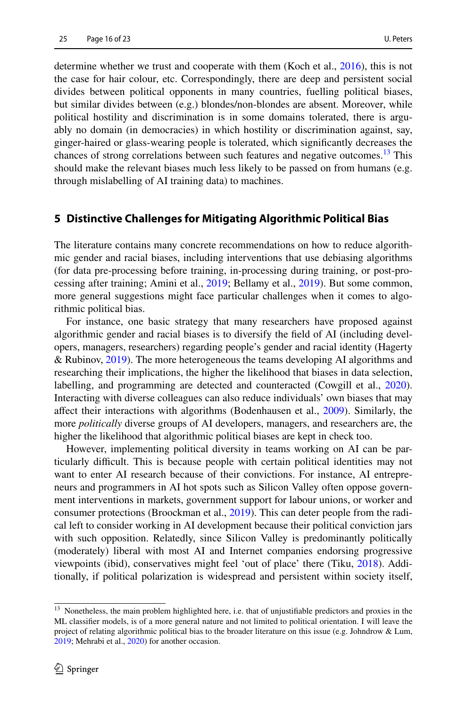determine whether we trust and cooperate with them (Koch et al., [2016\)](#page-20-3), this is not the case for hair colour, etc. Correspondingly, there are deep and persistent social divides between political opponents in many countries, fuelling political biases, but similar divides between (e.g.) blondes/non-blondes are absent. Moreover, while political hostility and discrimination is in some domains tolerated, there is arguably no domain (in democracies) in which hostility or discrimination against, say, ginger-haired or glass-wearing people is tolerated, which signifcantly decreases the chances of strong correlations between such features and negative outcomes.<sup>13</sup> This should make the relevant biases much less likely to be passed on from humans (e.g. through mislabelling of AI training data) to machines.

# <span id="page-15-0"></span>**5 Distinctive Challenges for Mitigating Algorithmic Political Bias**

The literature contains many concrete recommendations on how to reduce algorithmic gender and racial biases, including interventions that use debiasing algorithms (for data pre-processing before training, in-processing during training, or post-processing after training; Amini et al., [2019](#page-17-3); Bellamy et al., [2019](#page-17-4)). But some common, more general suggestions might face particular challenges when it comes to algorithmic political bias.

For instance, one basic strategy that many researchers have proposed against algorithmic gender and racial biases is to diversify the feld of AI (including developers, managers, researchers) regarding people's gender and racial identity (Hagerty & Rubinov, [2019\)](#page-19-23). The more heterogeneous the teams developing AI algorithms and researching their implications, the higher the likelihood that biases in data selection, labelling, and programming are detected and counteracted (Cowgill et al., [2020\)](#page-18-18). Interacting with diverse colleagues can also reduce individuals' own biases that may afect their interactions with algorithms (Bodenhausen et al., [2009](#page-18-19)). Similarly, the more *politically* diverse groups of AI developers, managers, and researchers are, the higher the likelihood that algorithmic political biases are kept in check too.

However, implementing political diversity in teams working on AI can be particularly difcult. This is because people with certain political identities may not want to enter AI research because of their convictions. For instance, AI entrepreneurs and programmers in AI hot spots such as Silicon Valley often oppose government interventions in markets, government support for labour unions, or worker and consumer protections (Broockman et al., [2019\)](#page-18-10). This can deter people from the radical left to consider working in AI development because their political conviction jars with such opposition. Relatedly, since Silicon Valley is predominantly politically (moderately) liberal with most AI and Internet companies endorsing progressive viewpoints (ibid), conservatives might feel 'out of place' there (Tiku, [2018](#page-21-12)). Additionally, if political polarization is widespread and persistent within society itself,

<span id="page-15-1"></span><sup>&</sup>lt;sup>13</sup> Nonetheless, the main problem highlighted here, i.e. that of unjustifiable predictors and proxies in the ML classifer models, is of a more general nature and not limited to political orientation. I will leave the project of relating algorithmic political bias to the broader literature on this issue (e.g. Johndrow & Lum, [2019](#page-19-24); Mehrabi et al., [2020\)](#page-20-20) for another occasion.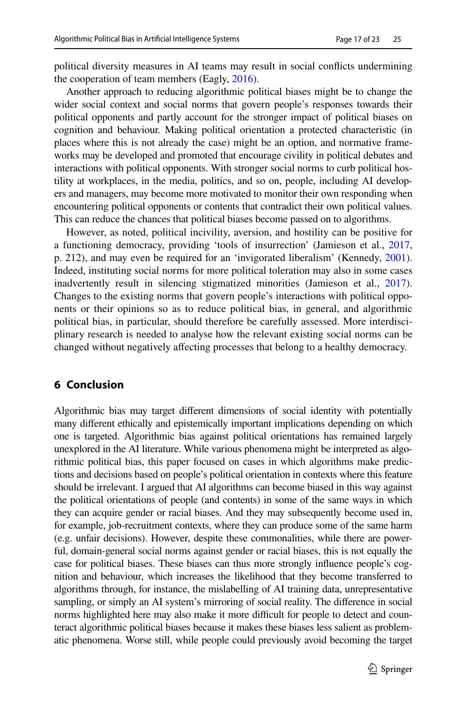political diversity measures in AI teams may result in social conficts undermining the cooperation of team members (Eagly, [2016](#page-18-20)).

Another approach to reducing algorithmic political biases might be to change the wider social context and social norms that govern people's responses towards their political opponents and partly account for the stronger impact of political biases on cognition and behaviour. Making political orientation a protected characteristic (in places where this is not already the case) might be an option, and normative frameworks may be developed and promoted that encourage civility in political debates and interactions with political opponents. With stronger social norms to curb political hostility at workplaces, in the media, politics, and so on, people, including AI developers and managers, may become more motivated to monitor their own responding when encountering political opponents or contents that contradict their own political values. This can reduce the chances that political biases become passed on to algorithms.

However, as noted, political incivility, aversion, and hostility can be positive for a functioning democracy, providing 'tools of insurrection' (Jamieson et al., [2017,](#page-19-17) p. 212), and may even be required for an 'invigorated liberalism' (Kennedy, [2001\)](#page-19-18). Indeed, instituting social norms for more political toleration may also in some cases inadvertently result in silencing stigmatized minorities (Jamieson et al., [2017\)](#page-19-17). Changes to the existing norms that govern people's interactions with political opponents or their opinions so as to reduce political bias, in general, and algorithmic political bias, in particular, should therefore be carefully assessed. More interdisciplinary research is needed to analyse how the relevant existing social norms can be changed without negatively afecting processes that belong to a healthy democracy.

# **6 Conclusion**

Algorithmic bias may target diferent dimensions of social identity with potentially many diferent ethically and epistemically important implications depending on which one is targeted. Algorithmic bias against political orientations has remained largely unexplored in the AI literature. While various phenomena might be interpreted as algorithmic political bias, this paper focused on cases in which algorithms make predictions and decisions based on people's political orientation in contexts where this feature should be irrelevant. I argued that AI algorithms can become biased in this way against the political orientations of people (and contents) in some of the same ways in which they can acquire gender or racial biases. And they may subsequently become used in, for example, job-recruitment contexts, where they can produce some of the same harm (e.g. unfair decisions). However, despite these commonalities, while there are powerful, domain-general social norms against gender or racial biases, this is not equally the case for political biases. These biases can thus more strongly infuence people's cognition and behaviour, which increases the likelihood that they become transferred to algorithms through, for instance, the mislabelling of AI training data, unrepresentative sampling, or simply an AI system's mirroring of social reality. The diference in social norms highlighted here may also make it more difficult for people to detect and counteract algorithmic political biases because it makes these biases less salient as problematic phenomena. Worse still, while people could previously avoid becoming the target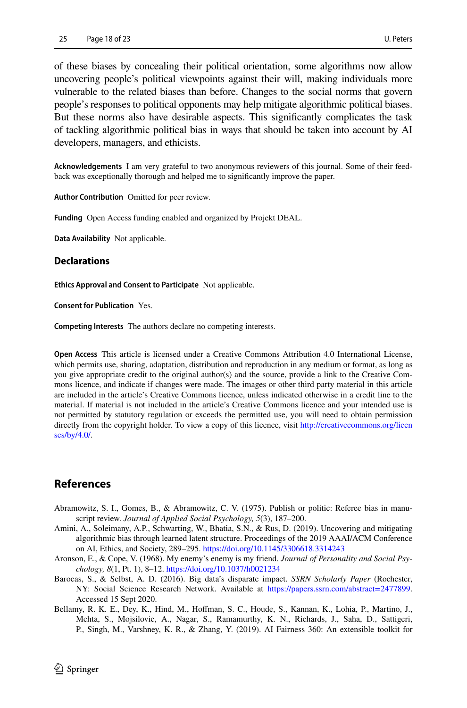of these biases by concealing their political orientation, some algorithms now allow uncovering people's political viewpoints against their will, making individuals more vulnerable to the related biases than before. Changes to the social norms that govern people's responses to political opponents may help mitigate algorithmic political biases. But these norms also have desirable aspects. This signifcantly complicates the task of tackling algorithmic political bias in ways that should be taken into account by AI developers, managers, and ethicists.

**Acknowledgements** I am very grateful to two anonymous reviewers of this journal. Some of their feedback was exceptionally thorough and helped me to signifcantly improve the paper.

**Author Contribution** Omitted for peer review.

**Funding** Open Access funding enabled and organized by Projekt DEAL.

**Data Availability** Not applicable.

#### **Declarations**

**Ethics Approval and Consent to Participate** Not applicable.

**Consent for Publication** Yes.

**Competing Interests** The authors declare no competing interests.

**Open Access** This article is licensed under a Creative Commons Attribution 4.0 International License, which permits use, sharing, adaptation, distribution and reproduction in any medium or format, as long as you give appropriate credit to the original author(s) and the source, provide a link to the Creative Commons licence, and indicate if changes were made. The images or other third party material in this article are included in the article's Creative Commons licence, unless indicated otherwise in a credit line to the material. If material is not included in the article's Creative Commons licence and your intended use is not permitted by statutory regulation or exceeds the permitted use, you will need to obtain permission directly from the copyright holder. To view a copy of this licence, visit [http://creativecommons.org/licen](http://creativecommons.org/licenses/by/4.0/) [ses/by/4.0/](http://creativecommons.org/licenses/by/4.0/).

# **References**

- <span id="page-17-1"></span>Abramowitz, S. I., Gomes, B., & Abramowitz, C. V. (1975). Publish or politic: Referee bias in manuscript review. *Journal of Applied Social Psychology, 5*(3), 187–200.
- <span id="page-17-3"></span>Amini, A., Soleimany, A.P., Schwarting, W., Bhatia, S.N., & Rus, D. (2019). Uncovering and mitigating algorithmic bias through learned latent structure. Proceedings of the 2019 AAAI/ACM Conference on AI, Ethics, and Society, 289–295.<https://doi.org/10.1145/3306618.3314243>
- <span id="page-17-2"></span>Aronson, E., & Cope, V. (1968). My enemy's enemy is my friend. *Journal of Personality and Social Psychology, 8*(1, Pt. 1), 8–12. <https://doi.org/10.1037/h0021234>
- <span id="page-17-0"></span>Barocas, S., & Selbst, A. D. (2016). Big data's disparate impact. *SSRN Scholarly Paper* (Rochester, NY: Social Science Research Network. Available at <https://papers.ssrn.com/abstract=2477899>. Accessed 15 Sept 2020.
- <span id="page-17-4"></span>Bellamy, R. K. E., Dey, K., Hind, M., Hofman, S. C., Houde, S., Kannan, K., Lohia, P., Martino, J., Mehta, S., Mojsilovic, A., Nagar, S., Ramamurthy, K. N., Richards, J., Saha, D., Sattigeri, P., Singh, M., Varshney, K. R., & Zhang, Y. (2019). AI Fairness 360: An extensible toolkit for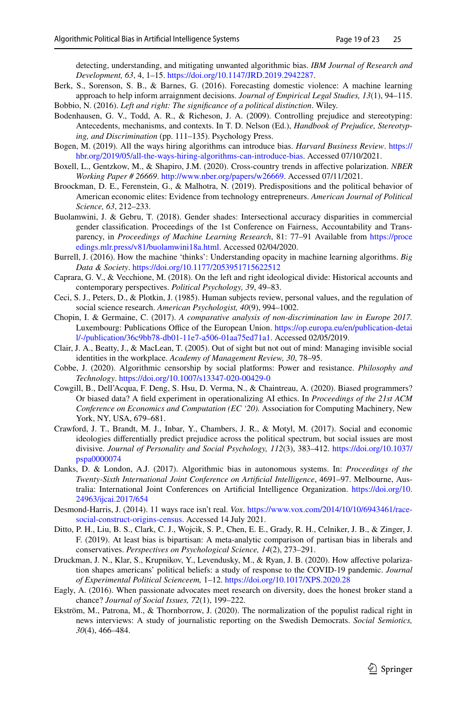detecting, understanding, and mitigating unwanted algorithmic bias. *IBM Journal of Research and Development, 63*, 4, 1–15. <https://doi.org/10.1147/JRD.2019.2942287>.

<span id="page-18-1"></span>Berk, S., Sorenson, S. B., & Barnes, G. (2016). Forecasting domestic violence: A machine learning approach to help inform arraignment decisions. *Journal of Empirical Legal Studies, 13*(1), 94–115. Bobbio, N. (2016). *Left and right: The signifcance of a political distinction*. Wiley.

<span id="page-18-19"></span><span id="page-18-6"></span>Bodenhausen, G. V., Todd, A. R., & Richeson, J. A. (2009). Controlling prejudice and stereotyping: Antecedents, mechanisms, and contexts. In T. D. Nelson (Ed.), *Handbook of Prejudice, Stereotyping, and Discrimination* (pp. 111–135). Psychology Press.

- <span id="page-18-0"></span>Bogen, M. (2019). All the ways hiring algorithms can introduce bias. *Harvard Business Review*. [https://](https://hbr.org/2019/05/all-the-ways-hiring-algorithms-can-introduce-bias) [hbr.org/2019/05/all-the-ways-hiring-algorithms-can-introduce-bias](https://hbr.org/2019/05/all-the-ways-hiring-algorithms-can-introduce-bias). Accessed 07/10/2021.
- <span id="page-18-17"></span>Boxell, L., Gentzkow, M., & Shapiro, J.M. (2020). Cross-country trends in afective polarization. *NBER Working Paper # 26669*. <http://www.nber.org/papers/w26669>. Accessed 07/11/2021.
- <span id="page-18-10"></span>Broockman, D. E., Ferenstein, G., & Malhotra, N. (2019). Predispositions and the political behavior of American economic elites: Evidence from technology entrepreneurs. *American Journal of Political Science, 63*, 212–233.
- <span id="page-18-3"></span>Buolamwini, J. & Gebru, T. (2018). Gender shades: Intersectional accuracy disparities in commercial gender classifcation. Proceedings of the 1st Conference on Fairness, Accountability and Transparency, in *Proceedings of Machine Learning Research*, 81: 77–91 Available from [https://proce](https://proceedings.mlr.press/v81/buolamwini18a.html ) [edings.mlr.press/v81/buolamwini18a.html](https://proceedings.mlr.press/v81/buolamwini18a.html ). Accessed 02/04/2020.
- <span id="page-18-9"></span>Burrell, J. (2016). How the machine 'thinks': Understanding opacity in machine learning algorithms. *Big Data & Society*. <https://doi.org/10.1177/2053951715622512>
- <span id="page-18-5"></span>Caprara, G. V., & Vecchione, M. (2018). On the left and right ideological divide: Historical accounts and contemporary perspectives. *Political Psychology, 39*, 49–83.
- <span id="page-18-12"></span>Ceci, S. J., Peters, D., & Plotkin, J. (1985). Human subjects review, personal values, and the regulation of social science research. *American Psychologist, 40*(9), 994–1002.
- <span id="page-18-14"></span>Chopin, I. & Germaine, C. (2017). *A comparative analysis of non-discrimination law in Europe 2017.* Luxembourg: Publications Office of the European Union. [https://op.europa.eu/en/publication-detai](https://op.europa.eu/en/publication-detail/-/publication/36c9bb78-db01-11e7-a506-01aa75ed71a1 ) [l/-/publication/36c9bb78-db01-11e7-a506-01aa75ed71a1.](https://op.europa.eu/en/publication-detail/-/publication/36c9bb78-db01-11e7-a506-01aa75ed71a1 ) Accessed 02/05/2019.
- <span id="page-18-16"></span>Clair, J. A., Beatty, J., & MacLean, T. (2005). Out of sight but not out of mind: Managing invisible social identities in the workplace. *Academy of Management Review, 30*, 78–95.
- <span id="page-18-8"></span>Cobbe, J. (2020). Algorithmic censorship by social platforms: Power and resistance. *Philosophy and Technology*.<https://doi.org/10.1007/s13347-020-00429-0>
- <span id="page-18-18"></span>Cowgill, B., Dell'Acqua, F. Deng, S. Hsu, D. Verma, N., & Chaintreau, A. (2020). Biased programmers? Or biased data? A feld experiment in operationalizing AI ethics. In *Proceedings of the 21st ACM Conference on Economics and Computation (EC '20).* Association for Computing Machinery, New York, NY, USA, 679–681.
- <span id="page-18-7"></span>Crawford, J. T., Brandt, M. J., Inbar, Y., Chambers, J. R., & Motyl, M. (2017). Social and economic ideologies diferentially predict prejudice across the political spectrum, but social issues are most divisive. *Journal of Personality and Social Psychology, 112*(3), 383–412. [https://doi.org/10.1037/](https://doi.org/10.1037/pspa0000074) [pspa0000074](https://doi.org/10.1037/pspa0000074)
- <span id="page-18-2"></span>Danks, D. & London, A.J. (2017). Algorithmic bias in autonomous systems. In: *Proceedings of the Twenty-Sixth International Joint Conference on Artifcial Intelligence*, 4691–97. Melbourne, Australia: International Joint Conferences on Artifcial Intelligence Organization. [https://doi.org/10.](https://doi.org/10.24963/ijcai.2017/654) [24963/ijcai.2017/654](https://doi.org/10.24963/ijcai.2017/654)
- <span id="page-18-4"></span>Desmond-Harris, J. (2014). 11 ways race isn't real. *Vox*. [https://www.vox.com/2014/10/10/6943461/race](https://www.vox.com/2014/10/10/6943461/race-social-construct-origins-census )[social-construct-origins-census](https://www.vox.com/2014/10/10/6943461/race-social-construct-origins-census ). Accessed 14 July 2021.
- <span id="page-18-13"></span>Ditto, P. H., Liu, B. S., Clark, C. J., Wojcik, S. P., Chen, E. E., Grady, R. H., Celniker, J. B., & Zinger, J. F. (2019). At least bias is bipartisan: A meta-analytic comparison of partisan bias in liberals and conservatives. *Perspectives on Psychological Science, 14*(2), 273–291.
- <span id="page-18-11"></span>Druckman, J. N., Klar, S., Krupnikov, Y., Levendusky, M., & Ryan, J. B. (2020). How afective polarization shapes americans' political beliefs: a study of response to the COVID-19 pandemic. *Journal of Experimental Political Scienceem,* 1–12. <https://doi.org/10.1017/XPS.2020.28>
- <span id="page-18-20"></span>Eagly, A. (2016). When passionate advocates meet research on diversity, does the honest broker stand a chance? *Journal of Social Issues, 72*(1), 199–222.
- <span id="page-18-15"></span>Ekström, M., Patrona, M., & Thornborrow, J. (2020). The normalization of the populist radical right in news interviews: A study of journalistic reporting on the Swedish Democrats. *Social Semiotics, 30*(4), 466–484.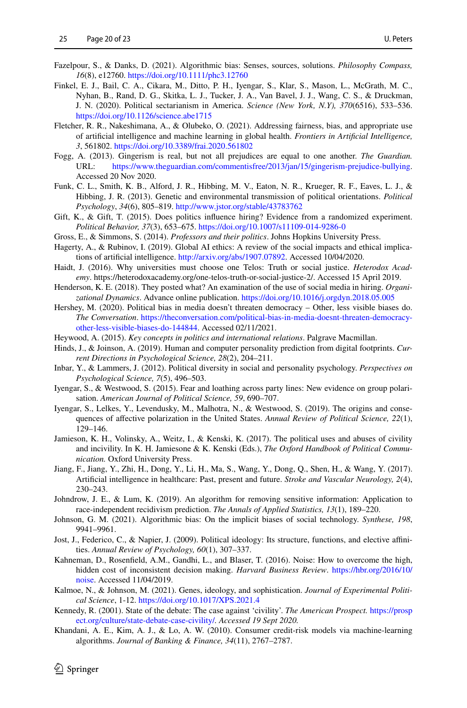- <span id="page-19-3"></span>Fazelpour, S., & Danks, D. (2021). Algorithmic bias: Senses, sources, solutions. *Philosophy Compass, 16*(8), e12760.<https://doi.org/10.1111/phc3.12760>
- <span id="page-19-5"></span>Finkel, E. J., Bail, C. A., Cikara, M., Ditto, P. H., Iyengar, S., Klar, S., Mason, L., McGrath, M. C., Nyhan, B., Rand, D. G., Skitka, L. J., Tucker, J. A., Van Bavel, J. J., Wang, C. S., & Druckman, J. N. (2020). Political sectarianism in America. *Science (New York, N.Y), 370*(6516), 533–536. <https://doi.org/10.1126/science.abe1715>
- <span id="page-19-11"></span>Fletcher, R. R., Nakeshimana, A., & Olubeko, O. (2021). Addressing fairness, bias, and appropriate use of artifcial intelligence and machine learning in global health. *Frontiers in Artifcial Intelligence, 3*, 561802. <https://doi.org/10.3389/frai.2020.561802>
- <span id="page-19-22"></span>Fogg, A. (2013). Gingerism is real, but not all prejudices are equal to one another. *The Guardian.* URL: [https://www.theguardian.com/commentisfree/2013/jan/15/gingerism-prejudice-bullying](https://www.theguardian.com/commentisfree/2013/jan/15/gingerism-prejudice-bullying ). Accessed 20 Nov 2020.
- <span id="page-19-7"></span>Funk, C. L., Smith, K. B., Alford, J. R., Hibbing, M. V., Eaton, N. R., Krueger, R. F., Eaves, L. J., & Hibbing, J. R. (2013). Genetic and environmental transmission of political orientations. *Political Psychology*, *34*(6), 805–819.<http://www.jstor.org/stable/43783762>
- <span id="page-19-16"></span>Gift, K., & Gift, T. (2015). Does politics influence hiring? Evidence from a randomized experiment. *Political Behavior, 37*(3), 653–675. <https://doi.org/10.1007/s11109-014-9286-0>
- <span id="page-19-12"></span>Gross, E., & Simmons, S. (2014). *Professors and their politics*. Johns Hopkins University Press.
- <span id="page-19-23"></span>Hagerty, A., & Rubinov, I. (2019). Global AI ethics: A review of the social impacts and ethical implications of artifcial intelligence. [http://arxiv.org/abs/1907.07892.](http://arxiv.org/abs/1907.07892) Accessed 10/04/2020.
- <span id="page-19-19"></span>Haidt, J. (2016). Why universities must choose one Telos: Truth or social justice. *Heterodox Academy*. https://heterodoxacademy.org/one-telos-truth-or-social-justice-2/. Accessed 15 April 2019.
- <span id="page-19-13"></span>Henderson, K. E. (2018). They posted what? An examination of the use of social media in hiring. *Organizational Dynamics*. Advance online publication.<https://doi.org/10.1016/j.orgdyn.2018.05.005>
- <span id="page-19-10"></span>Hershey, M. (2020). Political bias in media doesn't threaten democracy – Other, less visible biases do. *The Conversation*. [https://theconversation.com/political-bias-in-media-doesnt-threaten-democracy](https://theconversation.com/political-bias-in-media-doesnt-threaten-democracy-other-less-visible-biases-do-144844 )[other-less-visible-biases-do-144844.](https://theconversation.com/political-bias-in-media-doesnt-threaten-democracy-other-less-visible-biases-do-144844 ) Accessed 02/11/2021.
- <span id="page-19-9"></span>Heywood, A. (2015). *Key concepts in politics and international relations*. Palgrave Macmillan.
- <span id="page-19-21"></span>Hinds, J., & Joinson, A. (2019). Human and computer personality prediction from digital footprints. *Current Directions in Psychological Science, 28*(2), 204–211.
- <span id="page-19-20"></span>Inbar, Y., & Lammers, J. (2012). Political diversity in social and personality psychology. *Perspectives on Psychological Science, 7*(5), 496–503.
- <span id="page-19-15"></span>Iyengar, S., & Westwood, S. (2015). Fear and loathing across party lines: New evidence on group polarisation. *American Journal of Political Science, 59*, 690–707.
- <span id="page-19-6"></span>Iyengar, S., Lelkes, Y., Levendusky, M., Malhotra, N., & Westwood, S. (2019). The origins and consequences of afective polarization in the United States. *Annual Review of Political Science, 22*(1), 129–146.
- <span id="page-19-17"></span>Jamieson, K. H., Volinsky, A., Weitz, I., & Kenski, K. (2017). The political uses and abuses of civility and incivility. In K. H. Jamiesone & K. Kenski (Eds.), *The Oxford Handbook of Political Communication.* Oxford University Press.
- <span id="page-19-1"></span>Jiang, F., Jiang, Y., Zhi, H., Dong, Y., Li, H., Ma, S., Wang, Y., Dong, Q., Shen, H., & Wang, Y. (2017). Artifcial intelligence in healthcare: Past, present and future. *Stroke and Vascular Neurology, 2*(4), 230–243.
- <span id="page-19-24"></span>Johndrow, J. E., & Lum, K. (2019). An algorithm for removing sensitive information: Application to race-independent recidivism prediction. *The Annals of Applied Statistics, 13*(1), 189–220.
- <span id="page-19-14"></span>Johnson, G. M. (2021). Algorithmic bias: On the implicit biases of social technology. *Synthese, 198*, 9941–9961.
- <span id="page-19-4"></span>Jost, J., Federico, C., & Napier, J. (2009). Political ideology: Its structure, functions, and elective afnities. *Annual Review of Psychology, 60*(1), 307–337.
- <span id="page-19-2"></span>Kahneman, D., Rosenfeld, A.M., Gandhi, L., and Blaser, T. (2016). Noise: How to overcome the high, hidden cost of inconsistent decision making. *Harvard Business Review*. [https://hbr.org/2016/10/](https://hbr.org/2016/10/noise ) [noise](https://hbr.org/2016/10/noise ). Accessed 11/04/2019.
- <span id="page-19-8"></span>Kalmoe, N., & Johnson, M. (2021). Genes, ideology, and sophistication. *Journal of Experimental Political Science*, 1-12.<https://doi.org/10.1017/XPS.2021.4>
- <span id="page-19-18"></span>Kennedy, R. (2001). State of the debate: The case against 'civility'. *The American Prospect.* [https://prosp](https://prospect.org/culture/state-debate-case-civility/ ) [ect.org/culture/state-debate-case-civility/](https://prospect.org/culture/state-debate-case-civility/ )*. Accessed 19 Sept 2020.*
- <span id="page-19-0"></span>Khandani, A. E., Kim, A. J., & Lo, A. W. (2010). Consumer credit-risk models via machine-learning algorithms. *Journal of Banking & Finance, 34*(11), 2767–2787.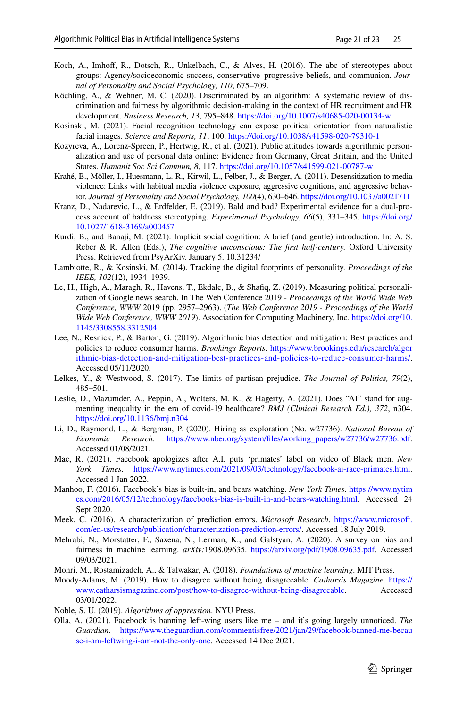- <span id="page-20-3"></span>Koch, A., Imhoff, R., Dotsch, R., Unkelbach, C., & Alves, H. (2016). The abc of stereotypes about groups: Agency/socioeconomic success, conservative–progressive beliefs, and communion. *Journal of Personality and Social Psychology, 110*, 675–709.
- <span id="page-20-11"></span>Köchling, A., & Wehner, M. C. (2020). Discriminated by an algorithm: A systematic review of discrimination and fairness by algorithmic decision-making in the context of HR recruitment and HR development. *Business Research, 13*, 795–848. <https://doi.org/10.1007/s40685-020-00134-w>
- <span id="page-20-18"></span>Kosinski, M. (2021). Facial recognition technology can expose political orientation from naturalistic facial images. *Science and Reports, 11*, 100. <https://doi.org/10.1038/s41598-020-79310-1>
- <span id="page-20-4"></span>Kozyreva, A., Lorenz-Spreen, P., Hertwig, R., et al. (2021). Public attitudes towards algorithmic personalization and use of personal data online: Evidence from Germany, Great Britain, and the United States. *Humanit Soc Sci Commun, 8*, 117. <https://doi.org/10.1057/s41599-021-00787-w>
- <span id="page-20-16"></span>Krahé, B., Möller, I., Huesmann, L. R., Kirwil, L., Felber, J., & Berger, A. (2011). Desensitization to media violence: Links with habitual media violence exposure, aggressive cognitions, and aggressive behavior. *Journal of Personality and Social Psychology, 100*(4), 630–646.<https://doi.org/10.1037/a0021711>
- <span id="page-20-19"></span>Kranz, D., Nadarevic, L., & Erdfelder, E. (2019). Bald and bad? Experimental evidence for a dual-process account of baldness stereotyping. *Experimental Psychology, 66*(5), 331–345. [https://doi.org/](https://doi.org/10.1027/1618-3169/a000457) [10.1027/1618-3169/a000457](https://doi.org/10.1027/1618-3169/a000457)
- <span id="page-20-12"></span>Kurdi, B., and Banaji, M. (2021). Implicit social cognition: A brief (and gentle) introduction. In: A. S. Reber & R. Allen (Eds.), *The cognitive unconscious: The frst half-century.* Oxford University Press. Retrieved from PsyArXiv. January 5. 10.31234/
- <span id="page-20-17"></span>Lambiotte, R., & Kosinski, M. (2014). Tracking the digital footprints of personality. *Proceedings of the IEEE, 102*(12), 1934–1939.
- <span id="page-20-5"></span>Le, H., High, A., Maragh, R., Havens, T., Ekdale, B., & Shafq, Z. (2019). Measuring political personalization of Google news search. In The Web Conference 2019 - *Proceedings of the World Wide Web Conference, WWW* 2019 (pp. 2957–2963). (*The Web Conference 2019 - Proceedings of the World Wide Web Conference, WWW 2019*). Association for Computing Machinery, Inc. [https://doi.org/10.](https://doi.org/10.1145/3308558.3312504) [1145/3308558.3312504](https://doi.org/10.1145/3308558.3312504)
- <span id="page-20-0"></span>Lee, N., Resnick, P., & Barton, G. (2019). Algorithmic bias detection and mitigation: Best practices and policies to reduce consumer harms. *Brookings Reports*. [https://www.brookings.edu/research/algor](https://www.brookings.edu/research/algorithmic-bias-detection-and-mitigation-best-practices-and-policies-to-reduce-consumer-harms/ ) [ithmic-bias-detection-and-mitigation-best-practices-and-policies-to-reduce-consumer-harms/](https://www.brookings.edu/research/algorithmic-bias-detection-and-mitigation-best-practices-and-policies-to-reduce-consumer-harms/ ). Accessed 05/11/2020.
- <span id="page-20-15"></span>Lelkes, Y., & Westwood, S. (2017). The limits of partisan prejudice. *The Journal of Politics, 79*(2), 485–501.
- <span id="page-20-13"></span>Leslie, D., Mazumder, A., Peppin, A., Wolters, M. K., & Hagerty, A. (2021). Does "AI" stand for augmenting inequality in the era of covid-19 healthcare? *BMJ (Clinical Research Ed.), 372*, n304. <https://doi.org/10.1136/bmj.n304>
- <span id="page-20-10"></span>Li, D., Raymond, L., & Bergman, P. (2020). Hiring as exploration (No. w27736). *National Bureau of Economic Research*. [https://www.nber.org/system/fles/working\\_papers/w27736/w27736.pdf](https://www.nber.org/system/files/working_papers/w27736/w27736.pdf ). Accessed 01/08/2021.
- <span id="page-20-1"></span>Mac, R. (2021). Facebook apologizes after A.I. puts 'primates' label on video of Black men. *New York Times*. [https://www.nytimes.com/2021/09/03/technology/facebook-ai-race-primates.html](https://www.nytimes.com/2021/09/03/technology/facebook-ai-race-primates.html ). Accessed 1 Jan 2022.
- <span id="page-20-6"></span>Manhoo, F. (2016). Facebook's bias is built-in, and bears watching. *New York Times*. [https://www.nytim](https://www.nytimes.com/2016/05/12/technology/facebooks-bias-is-built-in-and-bears-watching.html ) [es.com/2016/05/12/technology/facebooks-bias-is-built-in-and-bears-watching.html.](https://www.nytimes.com/2016/05/12/technology/facebooks-bias-is-built-in-and-bears-watching.html ) Accessed 24 Sept 2020.
- <span id="page-20-9"></span>Meek, C. (2016). A characterization of prediction errors. *Microsoft Research*. [https://www.microsoft.](https://www.microsoft.com/en-us/research/publication/characterization-prediction-errors/ ) [com/en-us/research/publication/characterization-prediction-errors/.](https://www.microsoft.com/en-us/research/publication/characterization-prediction-errors/ ) Accessed 18 July 2019.
- <span id="page-20-20"></span>Mehrabi, N., Morstatter, F., Saxena, N., Lerman, K., and Galstyan, A. (2020). A survey on bias and fairness in machine learning. *arXiv:*1908.09635. [https://arxiv.org/pdf/1908.09635.pdf.](https://arxiv.org/pdf/1908.09635.pdf ) Accessed 09/03/2021.
- <span id="page-20-8"></span>Mohri, M., Rostamizadeh, A., & Talwakar, A. (2018). *Foundations of machine learning*. MIT Press.
- <span id="page-20-14"></span>Moody-Adams, M. (2019). How to disagree without being disagreeable. *Catharsis Magazine*. [https://](https://www.catharsismagazine.com/post/how-to-disagree-without-being-disagreeable) [www.catharsismagazine.com/post/how-to-disagree-without-being-disagreeable](https://www.catharsismagazine.com/post/how-to-disagree-without-being-disagreeable). Accessed 03/01/2022.

<span id="page-20-2"></span>Noble, S. U. (2019). *Algorithms of oppression*. NYU Press.

<span id="page-20-7"></span>Olla, A. (2021). Facebook is banning left-wing users like me – and it's going largely unnoticed. *The Guardian*. [https://www.theguardian.com/commentisfree/2021/jan/29/facebook-banned-me-becau](https://www.theguardian.com/commentisfree/2021/jan/29/facebook-banned-me-because-i-am-leftwing-i-am-not-the-only-one ) [se-i-am-leftwing-i-am-not-the-only-one](https://www.theguardian.com/commentisfree/2021/jan/29/facebook-banned-me-because-i-am-leftwing-i-am-not-the-only-one ). Accessed 14 Dec 2021.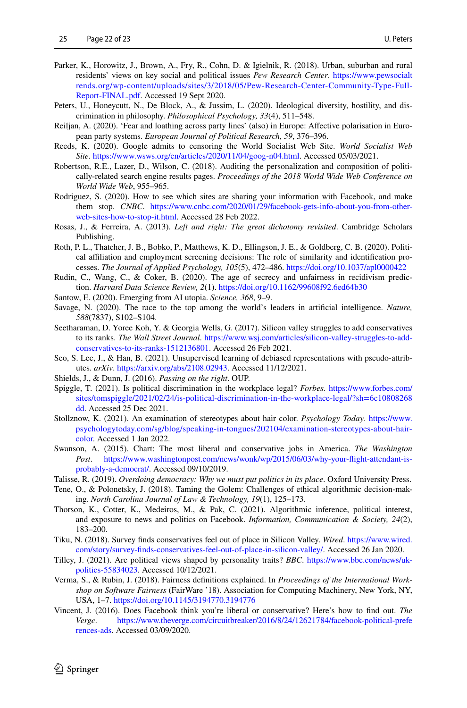- <span id="page-21-10"></span>Parker, K., Horowitz, J., Brown, A., Fry, R., Cohn, D. & Igielnik, R. (2018). Urban, suburban and rural residents' views on key social and political issues *Pew Research Center*. [https://www.pewsocialt](https://www.pewsocialtrends.org/wp-content/uploads/sites/3/2018/05/Pew-Research-Center-Community-Type-Full-Report-FINAL.pdf ) [rends.org/wp-content/uploads/sites/3/2018/05/Pew-Research-Center-Community-Type-Full-](https://www.pewsocialtrends.org/wp-content/uploads/sites/3/2018/05/Pew-Research-Center-Community-Type-Full-Report-FINAL.pdf )[Report-FINAL.pdf](https://www.pewsocialtrends.org/wp-content/uploads/sites/3/2018/05/Pew-Research-Center-Community-Type-Full-Report-FINAL.pdf ). Accessed 19 Sept 2020.
- <span id="page-21-15"></span>Peters, U., Honeycutt, N., De Block, A., & Jussim, L. (2020). Ideological diversity, hostility, and discrimination in philosophy. *Philosophical Psychology, 33*(4), 511–548.
- <span id="page-21-13"></span>Reiljan, A. (2020). 'Fear and loathing across party lines' (also) in Europe: Afective polarisation in European party systems. *European Journal of Political Research, 59*, 376–396.
- <span id="page-21-7"></span>Reeds, K. (2020). Google admits to censoring the World Socialist Web Site. *World Socialist Web Site*. [https://www.wsws.org/en/articles/2020/11/04/goog-n04.html.](https://www.wsws.org/en/articles/2020/11/04/goog-n04.html ) Accessed 05/03/2021.
- <span id="page-21-4"></span>Robertson, R.E., Lazer, D., Wilson, C. (2018). Auditing the personalization and composition of politically-related search engine results pages. *Proceedings of the 2018 World Wide Web Conference on World Wide Web*, 955–965.
- <span id="page-21-21"></span>Rodriguez, S. (2020). How to see which sites are sharing your information with Facebook, and make them stop. *CNBC*. [https://www.cnbc.com/2020/01/29/facebook-gets-info-about-you-from-other](https://www.cnbc.com/2020/01/29/facebook-gets-info-about-you-from-other-web-sites-how-to-stop-it.html)[web-sites-how-to-stop-it.html](https://www.cnbc.com/2020/01/29/facebook-gets-info-about-you-from-other-web-sites-how-to-stop-it.html). Accessed 28 Feb 2022.
- <span id="page-21-2"></span>Rosas, J., & Ferreira, A. (2013). *Left and right: The great dichotomy revisited*. Cambridge Scholars Publishing.
- <span id="page-21-11"></span>Roth, P. L., Thatcher, J. B., Bobko, P., Matthews, K. D., Ellingson, J. E., & Goldberg, C. B. (2020). Political afliation and employment screening decisions: The role of similarity and identifcation processes. *The Journal of Applied Psychology, 105*(5), 472–486. <https://doi.org/10.1037/apl0000422>
- <span id="page-21-0"></span>Rudin, C., Wang, C., & Coker, B. (2020). The age of secrecy and unfairness in recidivism prediction. *Harvard Data Science Review, 2*(1). <https://doi.org/10.1162/99608f92.6ed64b30>
- <span id="page-21-20"></span>Santow, E. (2020). Emerging from AI utopia. *Science, 368*, 9–9.
- <span id="page-21-16"></span>Savage, N. (2020). The race to the top among the world's leaders in artifcial intelligence. *Nature, 588*(7837), S102–S104.
- <span id="page-21-8"></span>Seetharaman, D. Yoree Koh, Y. & Georgia Wells, G. (2017). Silicon valley struggles to add conservatives to its ranks. *The Wall Street Journal*. [https://www.wsj.com/articles/silicon-valley-struggles-to-add](https://www.wsj.com/articles/silicon-valley-struggles-to-add-conservatives-to-its-ranks-1512136801)[conservatives-to-its-ranks-1512136801.](https://www.wsj.com/articles/silicon-valley-struggles-to-add-conservatives-to-its-ranks-1512136801) Accessed 26 Feb 2021.
- <span id="page-21-23"></span>Seo, S. Lee, J., & Han, B. (2021). Unsupervised learning of debiased representations with pseudo-attributes*. arXiv*. [https://arxiv.org/abs/2108.02943](https://arxiv.org/abs/2108.02943 ). Accessed 11/12/2021.
- <span id="page-21-14"></span>Shields, J., & Dunn, J. (2016). *Passing on the right*. OUP.
- <span id="page-21-18"></span>Spiggle, T. (2021). Is political discrimination in the workplace legal? *Forbes*. [https://www.forbes.com/](https://www.forbes.com/sites/tomspiggle/2021/02/24/is-political-discrimination-in-the-workplace-legal/?sh=6c10808268dd ) [sites/tomspiggle/2021/02/24/is-political-discrimination-in-the-workplace-legal/?sh=6c10808268](https://www.forbes.com/sites/tomspiggle/2021/02/24/is-political-discrimination-in-the-workplace-legal/?sh=6c10808268dd ) [dd.](https://www.forbes.com/sites/tomspiggle/2021/02/24/is-political-discrimination-in-the-workplace-legal/?sh=6c10808268dd ) Accessed 25 Dec 2021.
- <span id="page-21-22"></span>Stollznow, K. (2021). An examination of stereotypes about hair color. *Psychology Today*. [https://www.](https://www.psychologytoday.com/sg/blog/speaking-in-tongues/202104/examination-stereotypes-about-hair-color ) [psychologytoday.com/sg/blog/speaking-in-tongues/202104/examination-stereotypes-about-hair](https://www.psychologytoday.com/sg/blog/speaking-in-tongues/202104/examination-stereotypes-about-hair-color )[color.](https://www.psychologytoday.com/sg/blog/speaking-in-tongues/202104/examination-stereotypes-about-hair-color ) Accessed 1 Jan 2022.
- <span id="page-21-9"></span>Swanson, A. (2015). Chart: The most liberal and conservative jobs in America. *The Washington Post*. [https://www.washingtonpost.com/news/wonk/wp/2015/06/03/why-your-fight-attendant-is](https://www.washingtonpost.com/news/wonk/wp/2015/06/03/why-your-flight-attendant-is-probably-a-democrat/ )[probably-a-democrat/](https://www.washingtonpost.com/news/wonk/wp/2015/06/03/why-your-flight-attendant-is-probably-a-democrat/ ). Accessed 09/10/2019.
- <span id="page-21-17"></span>Talisse, R. (2019). *Overdoing democracy: Why we must put politics in its place*. Oxford University Press.
- <span id="page-21-6"></span>Tene, O., & Polonetsky, J. (2018). Taming the Golem: Challenges of ethical algorithmic decision-making. *North Carolina Journal of Law & Technology, 19*(1), 125–173.
- <span id="page-21-5"></span>Thorson, K., Cotter, K., Medeiros, M., & Pak, C. (2021). Algorithmic inference, political interest, and exposure to news and politics on Facebook. *Information, Communication & Society, 24*(2), 183–200.
- <span id="page-21-12"></span>Tiku, N. (2018). Survey fnds conservatives feel out of place in Silicon Valley. *Wired*. [https://www.wired.](https://www.wired.com/story/survey-finds-conservatives-feel-out-of-place-in-silicon-valley/ ) [com/story/survey-fnds-conservatives-feel-out-of-place-in-silicon-valley/](https://www.wired.com/story/survey-finds-conservatives-feel-out-of-place-in-silicon-valley/ ). Accessed 26 Jan 2020.
- <span id="page-21-1"></span>Tilley, J. (2021). Are political views shaped by personality traits? *BBC*. [https://www.bbc.com/news/uk](https://www.bbc.com/news/uk-politics-55834023)[politics-55834023.](https://www.bbc.com/news/uk-politics-55834023) Accessed 10/12/2021.
- <span id="page-21-3"></span>Verma, S., & Rubin, J. (2018). Fairness defnitions explained. In *Proceedings of the International Workshop on Software Fairness* (FairWare '18). Association for Computing Machinery, New York, NY, USA, 1–7.<https://doi.org/10.1145/3194770.3194776>
- <span id="page-21-19"></span>Vincent, J. (2016). Does Facebook think you're liberal or conservative? Here's how to fnd out. *The Verge*. [https://www.theverge.com/circuitbreaker/2016/8/24/12621784/facebook-political-prefe](https://www.theverge.com/circuitbreaker/2016/8/24/12621784/facebook-political-preferences-ads ) [rences-ads](https://www.theverge.com/circuitbreaker/2016/8/24/12621784/facebook-political-preferences-ads ). Accessed 03/09/2020.